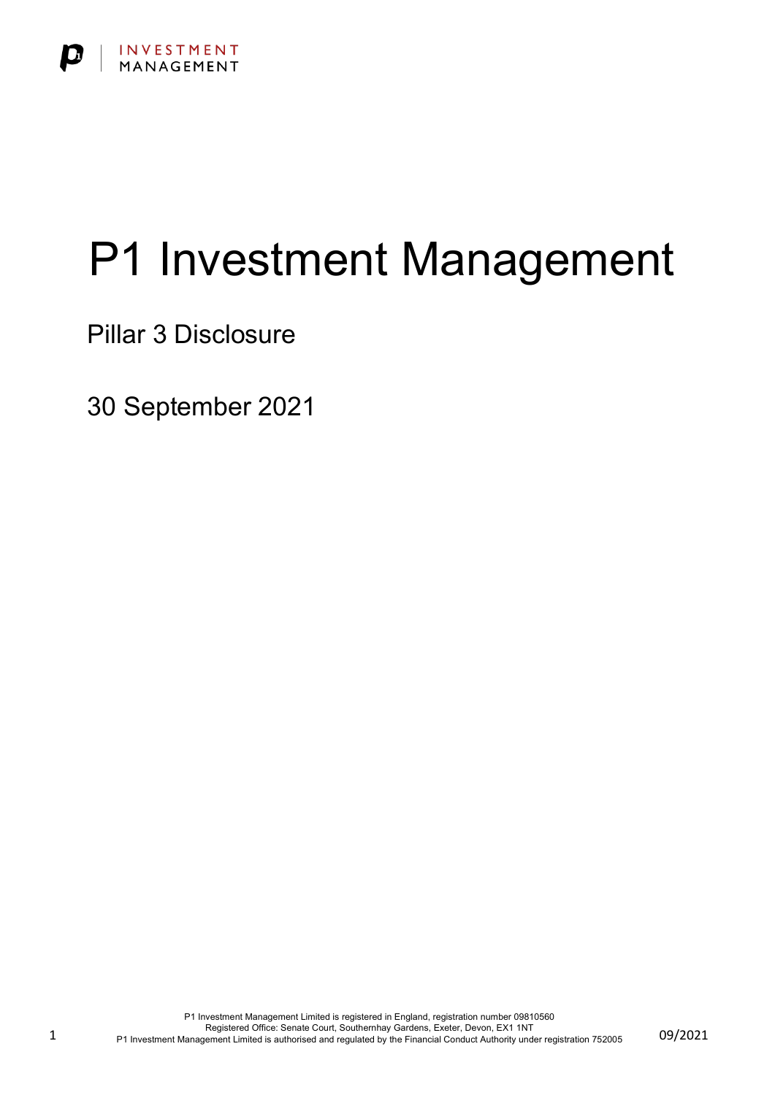

# P1 Investment Management

Pillar 3 Disclosure

30 September 2021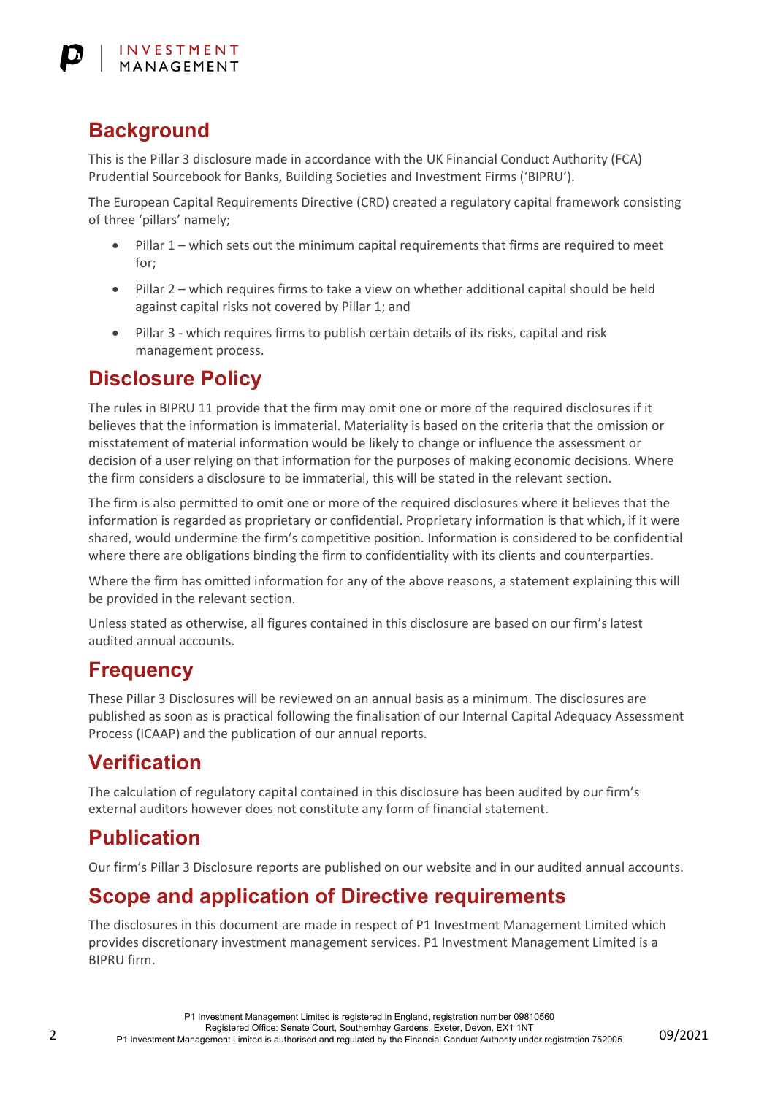# **Background**

This is the Pillar 3 disclosure made in accordance with the UK Financial Conduct Authority (FCA) Prudential Sourcebook for Banks, Building Societies and Investment Firms ('BIPRU').

The European Capital Requirements Directive (CRD) created a regulatory capital framework consisting of three 'pillars' namely;

- Pillar 1 which sets out the minimum capital requirements that firms are required to meet for;
- Pillar 2 which requires firms to take a view on whether additional capital should be held against capital risks not covered by Pillar 1; and
- Pillar 3 which requires firms to publish certain details of its risks, capital and risk management process.

#### **Disclosure Policy**

The rules in BIPRU 11 provide that the firm may omit one or more of the required disclosures if it believes that the information is immaterial. Materiality is based on the criteria that the omission or misstatement of material information would be likely to change or influence the assessment or decision of a user relying on that information for the purposes of making economic decisions. Where the firm considers a disclosure to be immaterial, this will be stated in the relevant section.

The firm is also permitted to omit one or more of the required disclosures where it believes that the information is regarded as proprietary or confidential. Proprietary information is that which, if it were shared, would undermine the firm's competitive position. Information is considered to be confidential where there are obligations binding the firm to confidentiality with its clients and counterparties.

Where the firm has omitted information for any of the above reasons, a statement explaining this will be provided in the relevant section.

Unless stated as otherwise, all figures contained in this disclosure are based on our firm's latest audited annual accounts.

## **Frequency**

These Pillar 3 Disclosures will be reviewed on an annual basis as a minimum. The disclosures are published as soon as is practical following the finalisation of our Internal Capital Adequacy Assessment Process (ICAAP) and the publication of our annual reports.

# **Verification**

The calculation of regulatory capital contained in this disclosure has been audited by our firm's external auditors however does not constitute any form of financial statement.

## **Publication**

Our firm's Pillar 3 Disclosure reports are published on our website and in our audited annual accounts.

## **Scope and application of Directive requirements**

The disclosures in this document are made in respect of P1 Investment Management Limited which provides discretionary investment management services. P1 Investment Management Limited is a BIPRU firm.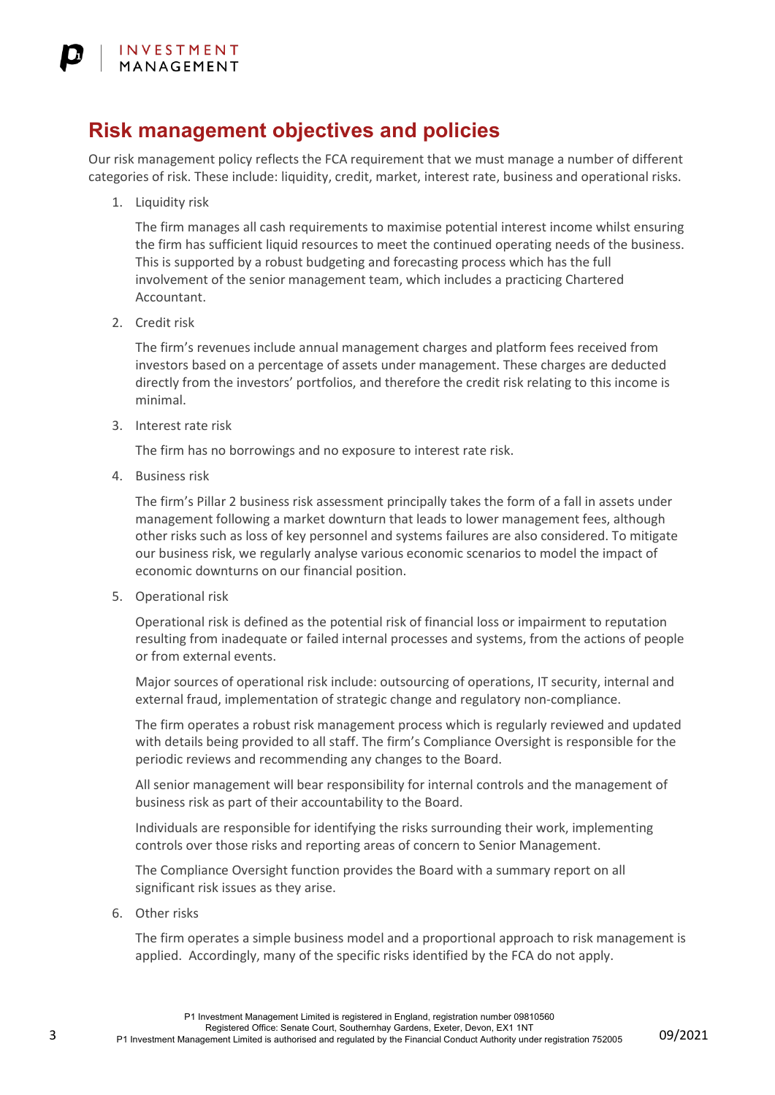#### **Risk management objectives and policies**

Our risk management policy reflects the FCA requirement that we must manage a number of different categories of risk. These include: liquidity, credit, market, interest rate, business and operational risks.

1. Liquidity risk

The firm manages all cash requirements to maximise potential interest income whilst ensuring the firm has sufficient liquid resources to meet the continued operating needs of the business. This is supported by a robust budgeting and forecasting process which has the full involvement of the senior management team, which includes a practicing Chartered Accountant.

2. Credit risk

The firm's revenues include annual management charges and platform fees received from investors based on a percentage of assets under management. These charges are deducted directly from the investors' portfolios, and therefore the credit risk relating to this income is minimal.

3. Interest rate risk

The firm has no borrowings and no exposure to interest rate risk.

4. Business risk

The firm's Pillar 2 business risk assessment principally takes the form of a fall in assets under management following a market downturn that leads to lower management fees, although other risks such as loss of key personnel and systems failures are also considered. To mitigate our business risk, we regularly analyse various economic scenarios to model the impact of economic downturns on our financial position.

5. Operational risk

Operational risk is defined as the potential risk of financial loss or impairment to reputation resulting from inadequate or failed internal processes and systems, from the actions of people or from external events.

Major sources of operational risk include: outsourcing of operations, IT security, internal and external fraud, implementation of strategic change and regulatory non-compliance.

The firm operates a robust risk management process which is regularly reviewed and updated with details being provided to all staff. The firm's Compliance Oversight is responsible for the periodic reviews and recommending any changes to the Board.

All senior management will bear responsibility for internal controls and the management of business risk as part of their accountability to the Board.

Individuals are responsible for identifying the risks surrounding their work, implementing controls over those risks and reporting areas of concern to Senior Management.

The Compliance Oversight function provides the Board with a summary report on all significant risk issues as they arise.

6. Other risks

The firm operates a simple business model and a proportional approach to risk management is applied. Accordingly, many of the specific risks identified by the FCA do not apply.